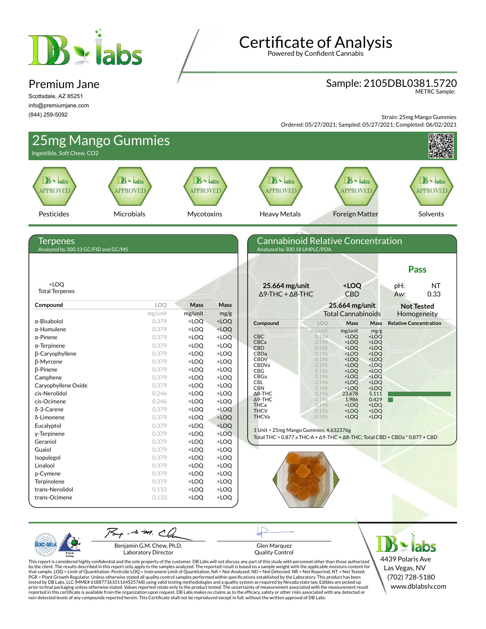# Bylabs

#### Premium Jane

Scottsdale, AZ 85251 info@premiumjane.com (844) 259-5092

**Certificate of Analysis** 

Powered by Confident Cannabis

#### Sample: 2105DBL0381.5720

METRC Sample:

Strain: 25mg Mango Gummies

Ordered: 05/27/2021; Sampled: 05/27/2021; Completed: 06/02/2021



PJL/

Benjamin G.M. Chew, Ph.D. Laboratory Director

Glen Marquez Quality Control

4439 Polaris Ave Las Vegas, NV (702) 728-5180 www.dblabslv.com

This report is considered highly confidential and the sole property of the customer. DB Labs will not discuss any part of this study with personnel other than those authorized<br>by the client. The results described in this r tested by DB Labs, LLC (MME# 61887736101164525768) using valid testing methodologies and a quality system as required by Nevada state law. Edibles are picked up<br>prior to final packaging unless otherwise stated. Values repo